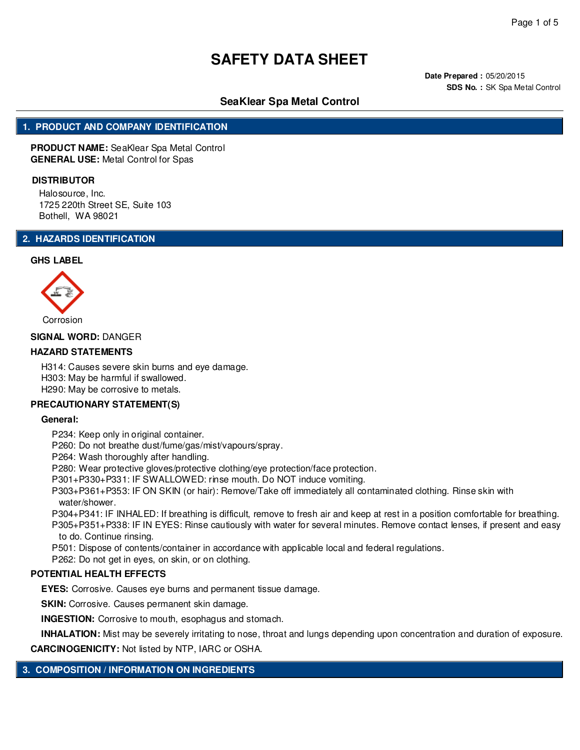**Date Prepared :** 05/20/2015 **SDS No. :** SK Spa Metal Control

# **SeaKlear Spa Metal Control**

## **1. PRODUCT AND COMPANY IDENTIFICATION**

**PRODUCT NAME:** SeaKlear Spa Metal Control **GENERAL USE:** Metal Control for Spas

#### **DISTRIBUTOR**

Halosource, Inc. 1725 220th Street SE, Suite 103 Bothell, WA 98021

## **2. HAZARDS IDENTIFICATION**

#### **GHS LABEL**



#### **SIGNAL WORD:** DANGER

#### **HAZARD STATEMENTS**

H314: Causes severe skin burns and eye damage. H303: May be harmful if swallowed. H290: May be corrosive to metals.

#### **PRECAUTIONARY STATEMENT(S)**

#### **General:**

P234: Keep only in original container.

P260: Do not breathe dust/fume/gas/mist/vapours/spray.

P264: Wash thoroughly after handling.

P280: Wear protective gloves/protective clothing/eye protection/face protection.

P301+P330+P331: IF SWALLOWED: rinse mouth. Do NOT induce vomiting.

P303+P361+P353: IF ON SKIN (or hair): Remove/Take off immediately all contaminated clothing. Rinse skin with water/shower.

P304+P341: IF INHALED: If breathing is difficult, remove to fresh air and keep at rest in a position comfortable for breathing. P305+P351+P338: IF IN EYES: Rinse cautiously with water for several minutes. Remove contact lenses, if present and easy

to do. Continue rinsing.

P501: Dispose of contents/container in accordance with applicable local and federal regulations.

P262: Do not get in eyes, on skin, or on clothing.

#### **POTENTIAL HEALTH EFFECTS**

**EYES:** Corrosive. Causes eye burns and permanent tissue damage.

**SKIN:** Corrosive. Causes permanent skin damage.

**INGESTION:** Corrosive to mouth, esophagus and stomach.

**INHALATION:** Mist may be severely irritating to nose, throat and lungs depending upon concentration and duration of exposure.

**CARCINOGENICITY:** Not listed by NTP, IARC or OSHA.

# **3. COMPOSITION / INFORMATION ON INGREDIENTS**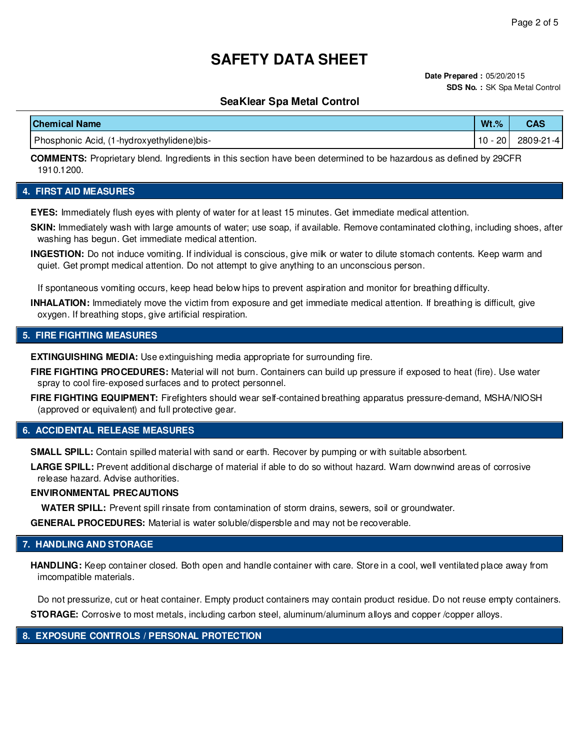**Date Prepared :** 05/20/2015 **SDS No. :** SK Spa Metal Control

## **SeaKlear Spa Metal Control**

| <b>Chemical Name</b>                       | $Wt.$ %          | CAS       |
|--------------------------------------------|------------------|-----------|
| Phosphonic Acid, (1-hydroxyethylidene)bis- | · 20 l<br>$10 -$ | 2809-21-4 |

**COMMENTS:** Proprietary blend. Ingredients in this section have been determined to be hazardous as defined by 29CFR 1910.1200.

## **4. FIRST AID MEASURES**

**EYES:** Immediately flush eyes with plenty of water for at least 15 minutes. Get immediate medical attention.

**SKIN:** Immediately wash with large amounts of water; use soap, if available. Remove contaminated clothing, including shoes, after washing has begun. Get immediate medical attention.

**INGESTION:** Do not induce vomiting. If individual is conscious, give milk or water to dilute stomach contents. Keep warm and quiet. Get prompt medical attention. Do not attempt to give anything to an unconscious person.

If spontaneous vomiting occurs, keep head below hips to prevent aspiration and monitor for breathing difficulty.

**INHALATION:** Immediately move the victim from exposure and get immediate medical attention. If breathing is difficult, give oxygen. If breathing stops, give artificial respiration.

### **5. FIRE FIGHTING MEASURES**

**EXTINGUISHING MEDIA:** Use extinguishing media appropriate for surrounding fire.

**FIRE FIGHTING PROCEDURES:** Material will not burn. Containers can build up pressure if exposed to heat (fire). Use water spray to cool fire-exposed surfaces and to protect personnel.

**FIRE FIGHTING EQUIPMENT:** Firefighters should wear self-contained breathing apparatus pressure-demand, MSHA/NIOSH (approved or equivalent) and full protective gear.

### **6. ACCIDENTAL RELEASE MEASURES**

**SMALL SPILL:** Contain spilled material with sand or earth. Recover by pumping or with suitable absorbent.

**LARGE SPILL:** Prevent additional discharge of material if able to do so without hazard. Warn downwind areas of corrosive release hazard. Advise authorities.

#### **ENVIRONMENTAL PRECAUTIONS**

**WATER SPILL:** Prevent spill rinsate from contamination of storm drains, sewers, soil or groundwater.

**GENERAL PROCEDURES:** Material is water soluble/dispersble and may not be recoverable.

## **7. HANDLING AND STORAGE**

**HANDLING:** Keep container closed. Both open and handle container with care. Store in a cool, well ventilated place away from imcompatible materials.

Do not pressurize, cut or heat container. Empty product containers may contain product residue. Do not reuse empty containers. **STORAGE:** Corrosive to most metals, including carbon steel, aluminum/aluminum alloys and copper /copper alloys.

### **8. EXPOSURE CONTROLS / PERSONAL PROTECTION**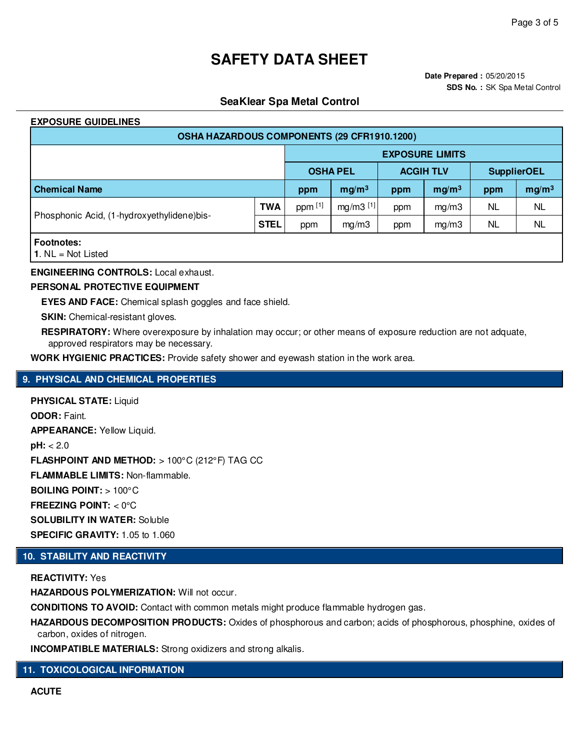# **SeaKlear Spa Metal Control**

### **EXPOSURE GUIDELINES**

| OSHA HAZARDOUS COMPONENTS (29 CFR1910.1200) |             |                 |                        |                  |                   |                    |                   |  |  |
|---------------------------------------------|-------------|-----------------|------------------------|------------------|-------------------|--------------------|-------------------|--|--|
|                                             |             |                 | <b>EXPOSURE LIMITS</b> |                  |                   |                    |                   |  |  |
|                                             |             | <b>OSHA PEL</b> |                        | <b>ACGIH TLV</b> |                   | <b>SupplierOEL</b> |                   |  |  |
| <b>Chemical Name</b>                        |             | ppm             | mg/m <sup>3</sup>      | ppm              | mg/m <sup>3</sup> | ppm                | mg/m <sup>3</sup> |  |  |
| Phosphonic Acid, (1-hydroxyethylidene)bis-  | <b>TWA</b>  | ppm [1]         | $mg/m3$ [1]            | ppm              | mg/m3             | NL                 | <b>NL</b>         |  |  |
|                                             | <b>STEL</b> | ppm             | mg/m3                  | ppm              | mq/m3             | NL                 | <b>NL</b>         |  |  |
| <b>Footnotes:</b>                           |             |                 |                        |                  |                   |                    |                   |  |  |

**1**. NL = Not Listed

**ENGINEERING CONTROLS:** Local exhaust.

## **PERSONAL PROTECTIVE EQUIPMENT**

**EYES AND FACE:** Chemical splash goggles and face shield.

**SKIN:** Chemical-resistant gloves.

**RESPIRATORY:** Where overexposure by inhalation may occur; or other means of exposure reduction are not adquate, approved respirators may be necessary.

**WORK HYGIENIC PRACTICES:** Provide safety shower and eyewash station in the work area.

## **9. PHYSICAL AND CHEMICAL PROPERTIES**

**PHYSICAL STATE:** Liquid **ODOR:** Faint. **APPEARANCE:** Yellow Liquid. **pH:** < 2.0 **FLASHPOINT AND METHOD:** > 100°C (212°F) TAG CC **FLAMMABLE LIMITS:** Non-flammable. **BOILING POINT:** > 100°C **FREEZING POINT:** < 0°C **SOLUBILITY IN WATER:** Soluble **SPECIFIC GRAVITY:** 1.05 to 1.060

## **10. STABILITY AND REACTIVITY**

**REACTIVITY:** Yes

**HAZARDOUS POLYMERIZATION:** Will not occur.

**CONDITIONS TO AVOID:** Contact with common metals might produce flammable hydrogen gas.

**HAZARDOUS DECOMPOSITION PRODUCTS:** Oxides of phosphorous and carbon; acids of phosphorous, phosphine, oxides of carbon, oxides of nitrogen.

**INCOMPATIBLE MATERIALS:** Strong oxidizers and strong alkalis.

**11. TOXICOLOGICAL INFORMATION**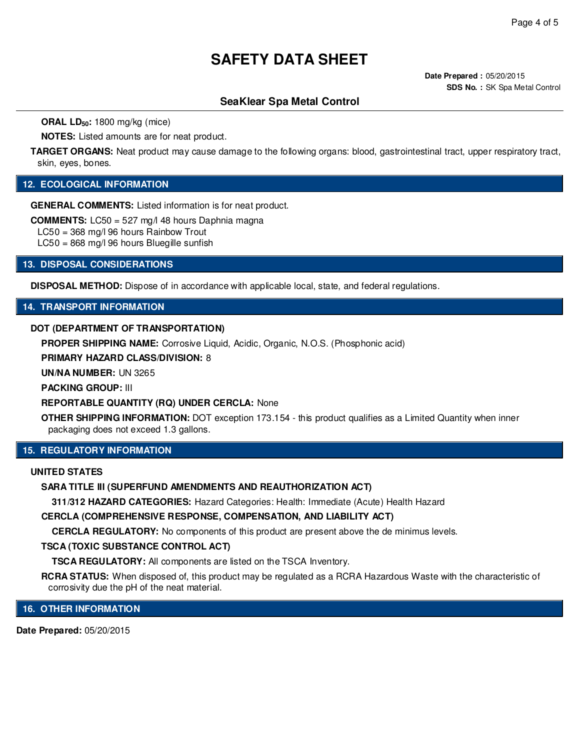**Date Prepared :** 05/20/2015 **SDS No. :** SK Spa Metal Control

# **SeaKlear Spa Metal Control**

**ORAL LD50:** 1800 mg/kg (mice)

**NOTES:** Listed amounts are for neat product.

**TARGET ORGANS:** Neat product may cause damage to the following organs: blood, gastrointestinal tract, upper respiratory tract, skin, eyes, bones.

## **12. ECOLOGICAL INFORMATION**

**GENERAL COMMENTS:** Listed information is for neat product.

**COMMENTS:** LC50 = 527 mg/l 48 hours Daphnia magna

LC50 = 368 mg/l 96 hours Rainbow Trout

LC50 = 868 mg/l 96 hours Bluegille sunfish

**13. DISPOSAL CONSIDERATIONS**

**DISPOSAL METHOD:** Dispose of in accordance with applicable local, state, and federal regulations.

### **14. TRANSPORT INFORMATION**

#### **DOT (DEPARTMENT OF TRANSPORTATION)**

**PROPER SHIPPING NAME:** Corrosive Liquid, Acidic, Organic, N.O.S. (Phosphonic acid)

**PRIMARY HAZARD CLASS/DIVISION:** 8

**UN/NA NUMBER:** UN 3265

**PACKING GROUP:** III

**REPORTABLE QUANTITY (RQ) UNDER CERCLA:** None

**OTHER SHIPPING INFORMATION:** DOT exception 173.154 - this product qualifies as a Limited Quantity when inner packaging does not exceed 1.3 gallons.

### **15. REGULATORY INFORMATION**

#### **UNITED STATES**

**SARA TITLE III (SUPERFUND AMENDMENTS AND REAUTHORIZATION ACT)**

**311/312 HAZARD CATEGORIES:** Hazard Categories: Health: Immediate (Acute) Health Hazard

**CERCLA (COMPREHENSIVE RESPONSE, COMPENSATION, AND LIABILITY ACT)**

**CERCLA REGULATORY:** No components of this product are present above the de minimus levels.

#### **TSCA (TOXIC SUBSTANCE CONTROL ACT)**

**TSCA REGULATORY:** All components are listed on the TSCA Inventory.

**RCRA STATUS:** When disposed of, this product may be regulated as a RCRA Hazardous Waste with the characteristic of corrosivity due the pH of the neat material.

**16. OTHER INFORMATION**

**Date Prepared:** 05/20/2015